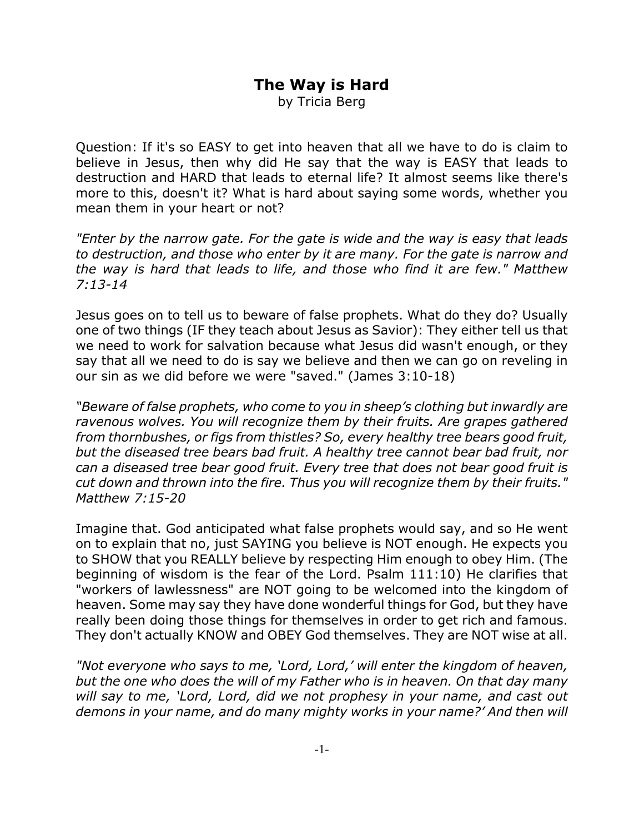## **The Way is Hard**

by Tricia Berg

Question: If it's so EASY to get into heaven that all we have to do is claim to believe in Jesus, then why did He say that the way is EASY that leads to destruction and HARD that leads to eternal life? It almost seems like there's more to this, doesn't it? What is hard about saying some words, whether you mean them in your heart or not?

*"Enter by the narrow gate. For the gate is wide and the way is easy that leads to destruction, and those who enter by it are many. For the gate is narrow and the way is hard that leads to life, and those who find it are few." Matthew 7:13-14*

Jesus goes on to tell us to beware of false prophets. What do they do? Usually one of two things (IF they teach about Jesus as Savior): They either tell us that we need to work for salvation because what Jesus did wasn't enough, or they say that all we need to do is say we believe and then we can go on reveling in our sin as we did before we were "saved." (James 3:10-18)

*"Beware of false prophets, who come to you in sheep's clothing but inwardly are ravenous wolves. You will recognize them by their fruits. Are grapes gathered from thornbushes, or figs from thistles? So, every healthy tree bears good fruit, but the diseased tree bears bad fruit. A healthy tree cannot bear bad fruit, nor can a diseased tree bear good fruit. Every tree that does not bear good fruit is cut down and thrown into the fire. Thus you will recognize them by their fruits." Matthew 7:15-20*

Imagine that. God anticipated what false prophets would say, and so He went on to explain that no, just SAYING you believe is NOT enough. He expects you to SHOW that you REALLY believe by respecting Him enough to obey Him. (The beginning of wisdom is the fear of the Lord. Psalm 111:10) He clarifies that "workers of lawlessness" are NOT going to be welcomed into the kingdom of heaven. Some may say they have done wonderful things for God, but they have really been doing those things for themselves in order to get rich and famous. They don't actually KNOW and OBEY God themselves. They are NOT wise at all.

*"Not everyone who says to me, 'Lord, Lord,' will enter the kingdom of heaven, but the one who does the will of my Father who is in heaven. On that day many will say to me, 'Lord, Lord, did we not prophesy in your name, and cast out demons in your name, and do many mighty works in your name?' And then will*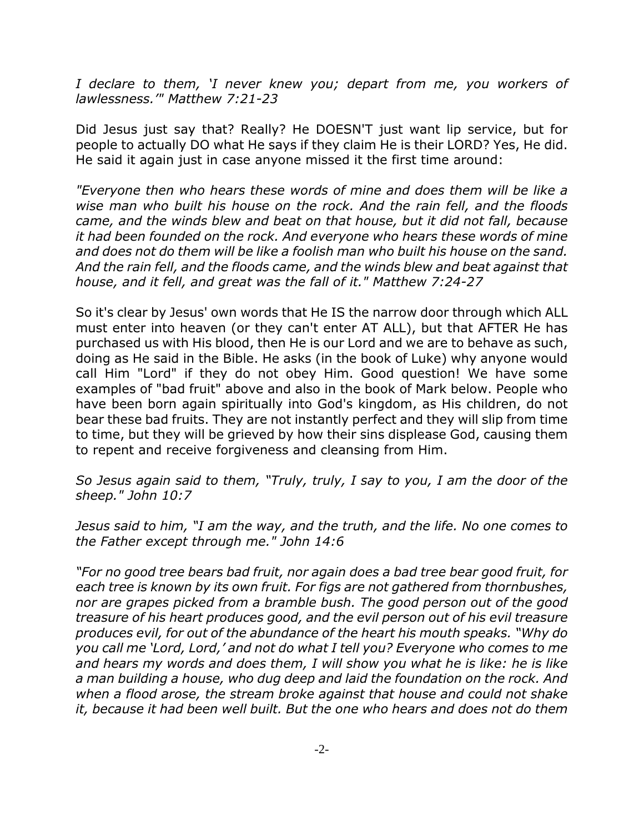*I declare to them, 'I never knew you; depart from me, you workers of lawlessness.'" Matthew 7:21-23*

Did Jesus just say that? Really? He DOESN'T just want lip service, but for people to actually DO what He says if they claim He is their LORD? Yes, He did. He said it again just in case anyone missed it the first time around:

*"Everyone then who hears these words of mine and does them will be like a wise man who built his house on the rock. And the rain fell, and the floods came, and the winds blew and beat on that house, but it did not fall, because it had been founded on the rock. And everyone who hears these words of mine and does not do them will be like a foolish man who built his house on the sand. And the rain fell, and the floods came, and the winds blew and beat against that house, and it fell, and great was the fall of it." Matthew 7:24-27*

So it's clear by Jesus' own words that He IS the narrow door through which ALL must enter into heaven (or they can't enter AT ALL), but that AFTER He has purchased us with His blood, then He is our Lord and we are to behave as such, doing as He said in the Bible. He asks (in the book of Luke) why anyone would call Him "Lord" if they do not obey Him. Good question! We have some examples of "bad fruit" above and also in the book of Mark below. People who have been born again spiritually into God's kingdom, as His children, do not bear these bad fruits. They are not instantly perfect and they will slip from time to time, but they will be grieved by how their sins displease God, causing them to repent and receive forgiveness and cleansing from Him.

*So Jesus again said to them, "Truly, truly, I say to you, I am the door of the sheep." John 10:7*

*Jesus said to him, "I am the way, and the truth, and the life. No one comes to the Father except through me." John 14:6*

*"For no good tree bears bad fruit, nor again does a bad tree bear good fruit, for each tree is known by its own fruit. For figs are not gathered from thornbushes, nor are grapes picked from a bramble bush. The good person out of the good treasure of his heart produces good, and the evil person out of his evil treasure produces evil, for out of the abundance of the heart his mouth speaks. "Why do you call me 'Lord, Lord,' and not do what I tell you? Everyone who comes to me and hears my words and does them, I will show you what he is like: he is like a man building a house, who dug deep and laid the foundation on the rock. And when a flood arose, the stream broke against that house and could not shake it, because it had been well built. But the one who hears and does not do them*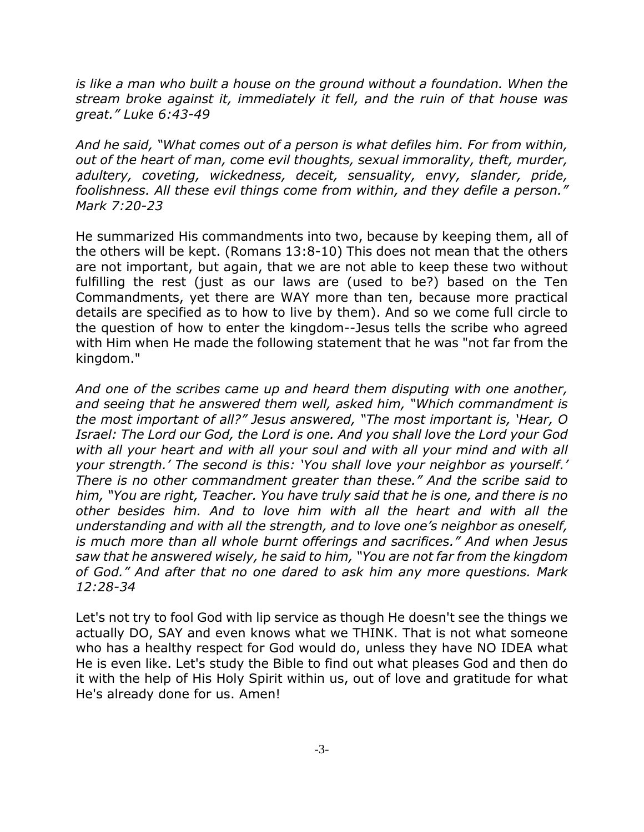*is like a man who built a house on the ground without a foundation. When the stream broke against it, immediately it fell, and the ruin of that house was great." Luke 6:43-49*

*And he said, "What comes out of a person is what defiles him. For from within, out of the heart of man, come evil thoughts, sexual immorality, theft, murder, adultery, coveting, wickedness, deceit, sensuality, envy, slander, pride, foolishness. All these evil things come from within, and they defile a person." Mark 7:20-23*

He summarized His commandments into two, because by keeping them, all of the others will be kept. (Romans 13:8-10) This does not mean that the others are not important, but again, that we are not able to keep these two without fulfilling the rest (just as our laws are (used to be?) based on the Ten Commandments, yet there are WAY more than ten, because more practical details are specified as to how to live by them). And so we come full circle to the question of how to enter the kingdom--Jesus tells the scribe who agreed with Him when He made the following statement that he was "not far from the kingdom."

*And one of the scribes came up and heard them disputing with one another, and seeing that he answered them well, asked him, "Which commandment is the most important of all?" Jesus answered, "The most important is, 'Hear, O Israel: The Lord our God, the Lord is one. And you shall love the Lord your God with all your heart and with all your soul and with all your mind and with all your strength.' The second is this: 'You shall love your neighbor as yourself.' There is no other commandment greater than these." And the scribe said to him, "You are right, Teacher. You have truly said that he is one, and there is no other besides him. And to love him with all the heart and with all the understanding and with all the strength, and to love one's neighbor as oneself, is much more than all whole burnt offerings and sacrifices." And when Jesus saw that he answered wisely, he said to him, "You are not far from the kingdom of God." And after that no one dared to ask him any more questions. Mark 12:28-34*

Let's not try to fool God with lip service as though He doesn't see the things we actually DO, SAY and even knows what we THINK. That is not what someone who has a healthy respect for God would do, unless they have NO IDEA what He is even like. Let's study the Bible to find out what pleases God and then do it with the help of His Holy Spirit within us, out of love and gratitude for what He's already done for us. Amen!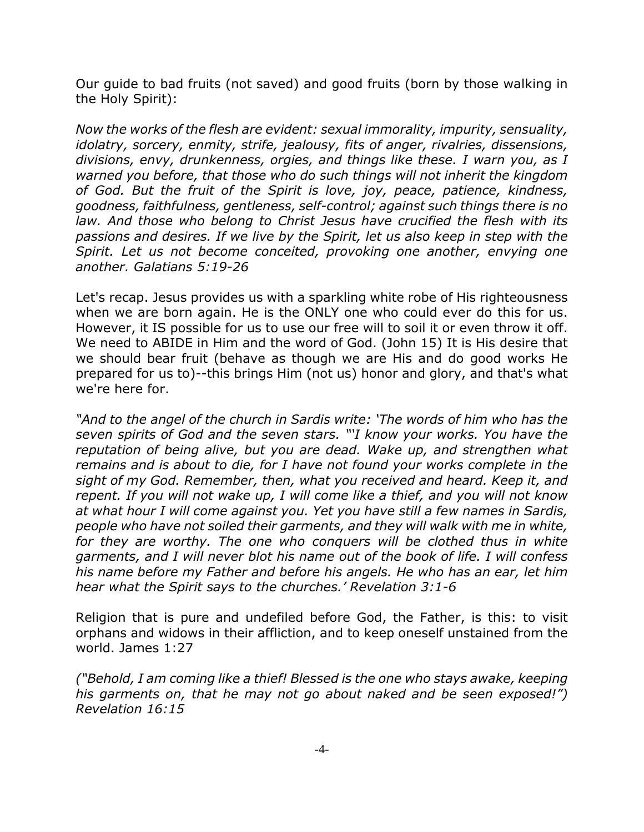Our guide to bad fruits (not saved) and good fruits (born by those walking in the Holy Spirit):

*Now the works of the flesh are evident: sexual immorality, impurity, sensuality, idolatry, sorcery, enmity, strife, jealousy, fits of anger, rivalries, dissensions, divisions, envy, drunkenness, orgies, and things like these. I warn you, as I warned you before, that those who do such things will not inherit the kingdom of God. But the fruit of the Spirit is love, joy, peace, patience, kindness, goodness, faithfulness, gentleness, self-control; against such things there is no law. And those who belong to Christ Jesus have crucified the flesh with its passions and desires. If we live by the Spirit, let us also keep in step with the Spirit. Let us not become conceited, provoking one another, envying one another. Galatians 5:19-26*

Let's recap. Jesus provides us with a sparkling white robe of His righteousness when we are born again. He is the ONLY one who could ever do this for us. However, it IS possible for us to use our free will to soil it or even throw it off. We need to ABIDE in Him and the word of God. (John 15) It is His desire that we should bear fruit (behave as though we are His and do good works He prepared for us to)--this brings Him (not us) honor and glory, and that's what we're here for.

*"And to the angel of the church in Sardis write: 'The words of him who has the seven spirits of God and the seven stars. "'I know your works. You have the reputation of being alive, but you are dead. Wake up, and strengthen what remains and is about to die, for I have not found your works complete in the sight of my God. Remember, then, what you received and heard. Keep it, and repent. If you will not wake up, I will come like a thief, and you will not know at what hour I will come against you. Yet you have still a few names in Sardis, people who have not soiled their garments, and they will walk with me in white, for they are worthy. The one who conquers will be clothed thus in white garments, and I will never blot his name out of the book of life. I will confess his name before my Father and before his angels. He who has an ear, let him hear what the Spirit says to the churches.' Revelation 3:1-6*

Religion that is pure and undefiled before God, the Father, is this: to visit orphans and widows in their affliction, and to keep oneself unstained from the world. James 1:27

*("Behold, I am coming like a thief! Blessed is the one who stays awake, keeping his garments on, that he may not go about naked and be seen exposed!") Revelation 16:15*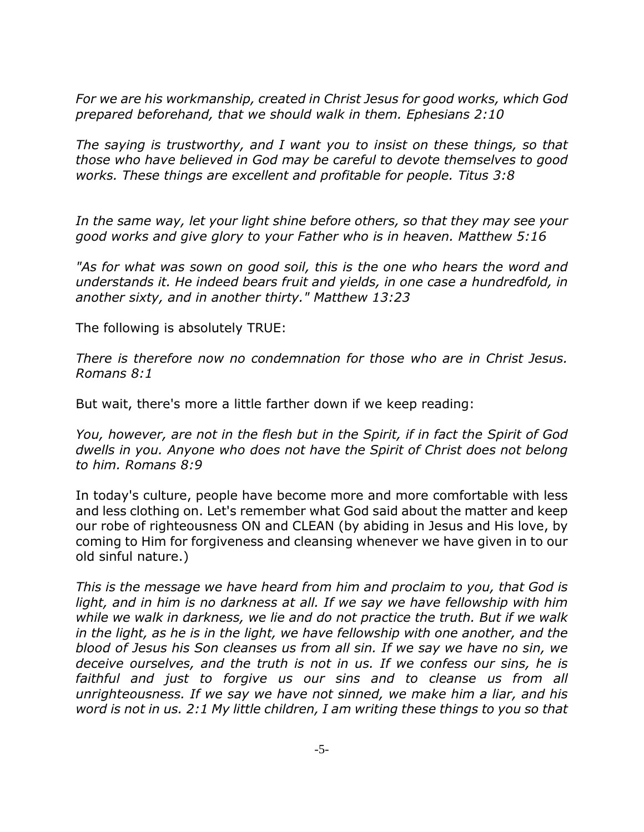*For we are his workmanship, created in Christ Jesus for good works, which God prepared beforehand, that we should walk in them. Ephesians 2:10* 

*The saying is trustworthy, and I want you to insist on these things, so that those who have believed in God may be careful to devote themselves to good works. These things are excellent and profitable for people. Titus 3:8*

*In the same way, let your light shine before others, so that they may see your good works and give glory to your Father who is in heaven. Matthew 5:16*

*"As for what was sown on good soil, this is the one who hears the word and understands it. He indeed bears fruit and yields, in one case a hundredfold, in another sixty, and in another thirty." Matthew 13:23*

The following is absolutely TRUE:

*There is therefore now no condemnation for those who are in Christ Jesus. Romans 8:1* 

But wait, there's more a little farther down if we keep reading:

*You, however, are not in the flesh but in the Spirit, if in fact the Spirit of God dwells in you. Anyone who does not have the Spirit of Christ does not belong to him. Romans 8:9*

In today's culture, people have become more and more comfortable with less and less clothing on. Let's remember what God said about the matter and keep our robe of righteousness ON and CLEAN (by abiding in Jesus and His love, by coming to Him for forgiveness and cleansing whenever we have given in to our old sinful nature.)

*This is the message we have heard from him and proclaim to you, that God is light, and in him is no darkness at all. If we say we have fellowship with him while we walk in darkness, we lie and do not practice the truth. But if we walk in the light, as he is in the light, we have fellowship with one another, and the blood of Jesus his Son cleanses us from all sin. If we say we have no sin, we deceive ourselves, and the truth is not in us. If we confess our sins, he is faithful and just to forgive us our sins and to cleanse us from all unrighteousness. If we say we have not sinned, we make him a liar, and his word is not in us. 2:1 My little children, I am writing these things to you so that*